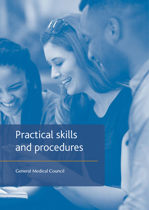# Practical skills and procedures

**General Medical Council**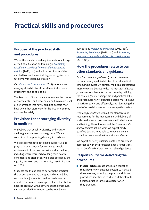## **Practical skills and procedures**

## **Purpose of the practical skills and procedures**

We set the standards and requirements for all stages of medical education and training in *[Promoting](https://www.gmc-uk.org/-/media/documents/promoting-excellence-standards-for-medical-education-and-training-0715_pdf-61939165.pdf)  [excellence: standards for medical education and](https://www.gmc-uk.org/-/media/documents/promoting-excellence-standards-for-medical-education-and-training-0715_pdf-61939165.pdf)  [training](https://www.gmc-uk.org/-/media/documents/promoting-excellence-standards-for-medical-education-and-training-0715_pdf-61939165.pdf)* (2016, pdf) and hold a list of universities entitled to award a medical degree recognised as a UK primary medical qualification.

Our *[Outcomes for graduates](https://www.gmc-uk.org/education/standards-guidance-and-curricula/standards-and-outcomes/outcomes-for-graduates)* (2018) set out what newly qualified doctors from all medical schools must know and be able to do.

The *Practical skills and procedures* outline the core set of practical skills and procedures, and minimum level of performance that newly qualified doctors must have when they start work for the first time so they can practise safely.

## **Provisions for encouraging diversity in medicine**

We believe that equality, diversity and inclusion are integral to our work as a regulator. We are committed to supporting diversity in medicine.

We expect organisations to make supportive and pragmatic adjustments for learners to enable achievement of the practical skills and procedures, including where learners have long-term health conditions and disabilities, while also abiding by the Equality Act 2010 and the Disability Discrimination Act 1995.

Students need to be able to perform the practical skill or procedure using the specified method, but reasonable adjustments could be made to other aspects. For example, an adapted chair if the student needs to sit down while carrying out the procedure. Further detailed information can be found in our

publications *[Welcomed and valued](https://www.gmc-uk.org/education/standards-guidance-and-curricula/guidance/welcomed-and-valued)* (2019, pdf), *[Promoting Excellence](https://www.gmc-uk.org/-/media/documents/promoting-excellence-standards-for-medical-education-and-training-0715_pdf-61939165.pdf)* (2016, pdf) and *[Promoting](https://www.gmc-uk.org/-/media/documents/promoting-excellence-equality-and-diverisity-considerations-v1_pdf-72709944.pdf)  [excellence - equality and diversity considerations](https://www.gmc-uk.org/-/media/documents/promoting-excellence-equality-and-diverisity-considerations-v1_pdf-72709944.pdf)* (2017, pdf).

## **How the procedures relate to our other standards and guidance**

Our *Outcomes for graduates* (the outcomes) set out what newly qualified doctors from all medical schools who award UK primary medical qualifications must know and be able to do. The *Practical skills and procedures* supplements the outcomes by defining the core diagnostic, therapeutic and practical skills and procedures newly qualified doctors must be able to perform safely and effectively, and identifying the level of supervision needed to ensure patient safety.

*Promoting excellence* sets out the standards and requirements for the management and delivery of undergraduate and postgraduate medical education and training. The outcomes and the *Practical skills and procedure*s set out what we expect newly qualified doctors to be able to know and do and should be read alongside *Promoting excellence*.

We expect all newly qualified doctors to practise in accordance with the professional requirements set out in *Good medical practice* and related guidance.

## **Responsibility for delivering the procedures**

■ **Medical schools** must provide an education that allows newly qualified doctors to meet all the outcomes, including the practical skills and procedures specified in this list, and therefore to be fit to practise safely as a doctor when they graduate.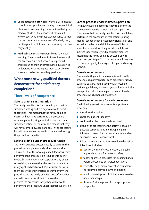- **Local education providers**, working with medical schools, must provide and quality manage clinical placements and learning opportunities that give medical students the opportunities to build knowledge, skills and practical experience to meet the outcomes and to safely and effectively carry out the practical skills and procedures by the time they qualify.
- **Medical students** are responsible for their own learning. They should refer to the outcomes and the practical skills and procedures specified in this list during their undergraduate education to understand what we expect them to be able to know and do by the time they graduate.

## **What must newly qualified doctors demonstrate for satisfactory completion?**

#### **Three levels of competence**

#### **Safe to practise in simulation**

The newly qualified doctor is safe to practise in a simulated setting and is ready to move to direct supervision. This means that the newly qualified doctor will not have performed the procedure on a real patient during medical school, but on a simulated patient or manikin. This means that they will have some knowledge and skill in the procedure but will require direct supervision when performing the procedure on patients.

#### **Safe to practise under direct supervision**

The newly qualified doctor is ready to perform the procedure on a patient under direct supervision. This means that the newly qualified doctor will have performed the procedure on real patients during medical school under direct supervision. By direct supervision, we mean that the medical student or newly qualified doctor will have a supervisor with them observing their practice as they perform the procedure. As the newly qualified doctor's experience and skill becomes sufficient to allow them to perform the procedure safely they will move to performing the procedure under indirect supervision.

#### **Safe to practise under indirect supervision**

The newly qualified doctor is ready to perform the procedure on a patient under indirect supervision. This means that the newly qualified doctor will have performed the procedure on real patients during medical school under direct supervision at first and, as their experience and skill became sufficient to allow them to perform the procedure safely, with indirect supervision. By indirect supervision, we mean that the newly qualified doctor is able to access support to perform the procedure if they need to – for example by locating a colleague and asking for help.

#### **Generic requirements**

There are both generic requirements and specific procedure requirements for each procedure. Newly qualified doctors should comply with local and national guidelines, and employers will also typically have protocols for the safe performance of each procedure which should be followed.

#### **Generic requirements for each procedure**

The following generic requirements apply to each procedure:

- introduce themselves
- check the patient's identity
- confirm that the procedure is required
- explain the procedure to the patient (including possible complications and risks) and gain informed consent for the procedure (under direct supervision where appropriate)
- follow universal precautions to reduce the risk of infections, including:
	- $\blacksquare$  control the risk of cross infection, and take appropriate steps for personal safety
	- **Follow approved processes for cleaning hands** before procedures or surgical operations
	- $\Box$  correctly use personal protective equipment (for example gloves, gowns and masks)
	- $\blacksquare$  employ safe disposal of clinical waste, needles and other sharps
	- $\blacksquare$  dispose of all equipment in the appropriate receptacles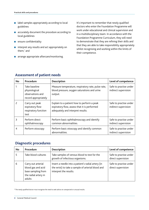- label samples appropriately according to local guidelines
- accurately document the procedure according to local guidelines
- ensure confidentiality
- interpret any results and act appropriately on them;\* and
- arrange appropriate aftercare/monitoring.

It's important to remember that newly qualified doctors who enter the Foundation Programme will work under educational and clinical supervision and in a multidisciplinary team. In accordance with the Foundation Programme Curriculum, they will need to demonstrate that they are refining their skills and that they are able to take responsibility appropriately whilst recognising and working within the limits of their competence.

| <b>No</b> | Procedure                                                                  | Description                                                                                                                     | Level of competence                            |
|-----------|----------------------------------------------------------------------------|---------------------------------------------------------------------------------------------------------------------------------|------------------------------------------------|
|           | Take baseline<br>physiological<br>observations and<br>record appropriately | Measure temperature, respiratory rate, pulse rate,<br>blood pressure, oxygen saturations and urine<br>output.                   | Safe to practise under<br>indirect supervision |
| 2         | Carry out peak<br>expiratory flow<br>respiratory function<br>test          | Explain to a patient how to perform a peak<br>expiratory flow, assess that it is performed<br>adequately and interpret results. | Safe to practise under<br>indirect supervision |
| ξ         | Perform direct<br>ophthalmoscopy                                           | Perform basic ophthalmoscopy and identify<br>common abnormalities.                                                              | Safe to practise under<br>indirect supervision |
| 4         | Perform otoscopy                                                           | Perform basic otoscopy and identify common<br>abnormalities.                                                                    | Safe to practise under<br>indirect supervision |

#### **Assessment of patient needs**

#### **Diagnostic procedures**

| No | Procedure                                                                                        | <b>Description</b>                                                                                                                | Level of competence                          |
|----|--------------------------------------------------------------------------------------------------|-----------------------------------------------------------------------------------------------------------------------------------|----------------------------------------------|
|    | Take blood cultures                                                                              | Take samples of venous blood to test for the<br>growth of infectious organisms.                                                   | Safe to practise under<br>direct supervision |
| 6  | Carry out arterial<br>blood gas and acid<br>base sampling from<br>the radial artery in<br>adults | Insert a needle into a patient's radial artery (in<br>the wrist) to take a sample of arterial blood and<br>interpret the results. | Safe to practise under<br>direct supervision |

\* The newly qualified doctor must recognise the need to seek advice on unexpected or unusual results.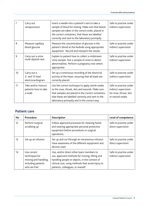| 7               | Carry out<br>venepuncture                              | Insert a needle into a patient's vein to take a<br>sample of blood for testing. Make sure that blood<br>samples are taken in the correct order, placed in<br>the correct containers, that these are labelled<br>correctly and sent to the laboratory promptly. | Safe to practise under<br>indirect supervision                                             |
|-----------------|--------------------------------------------------------|----------------------------------------------------------------------------------------------------------------------------------------------------------------------------------------------------------------------------------------------------------------|--------------------------------------------------------------------------------------------|
| 8               | Measure capillary<br>blood glucose                     | Measure the concentration of glucose in the<br>patient's blood at the bedside using appropriate<br>equipment. Record and interpret the results.                                                                                                                | Safe to practise under<br>indirect supervision                                             |
| 9               | Carry out a urine<br>multi dipstick test               | Explain to patient how to collect a midstream<br>urine sample. Test a sample of urine to detect<br>abnormalities. Perform a pregnancy test where<br>appropriate.                                                                                               | Safe to practise under<br>indirect supervision                                             |
| 10 <sup>°</sup> | Carry out a<br>3- and 12-lead<br>electrocardiogram     | Set up a continuous recording of the electrical<br>activity of the heart, ensuring that all leads are<br>correctly placed.                                                                                                                                     | Safe to practise under<br>indirect supervision                                             |
| 11              | Take and/or instruct<br>patients how to take<br>a swab | Use the correct technique to apply sterile swabs<br>to the nose, throat, skin and wounds. Make sure<br>that samples are placed in the correct containers,<br>that these are labelled correctly and sent to the<br>laboratory promptly and in the correct way.  | Safe to practise under<br>indirect supervision<br>for nose, throat, skin<br>or wound swabs |

### **Patient care**

| No                | Procedure                                                                                    | <b>Description</b>                                                                                                                                                                                                                   | Level of competence                            |
|-------------------|----------------------------------------------------------------------------------------------|--------------------------------------------------------------------------------------------------------------------------------------------------------------------------------------------------------------------------------------|------------------------------------------------|
| $12 \overline{ }$ | Perform surgical<br>scrubbing up                                                             | Follow approved processes for cleaning hands<br>and wearing appropriate personal protective<br>equipment before procedures or surgical<br>operations.                                                                                | Safe to practise under<br>direct supervision   |
| 13                | Set up an infusion                                                                           | Set up and run through an intravenous infusion.<br>Have awareness of the different equipment and<br>devices used.                                                                                                                    | Safe to practise under<br>direct supervision   |
| 14                | Use correct<br>techniques for<br>moving and handling,<br>including patients<br>who are frail | Use, and/or direct other team members to<br>use, approved methods for moving, lifting and<br>handling people or objects, in the context of<br>clinical care, using methods that avoid injury to<br>patients, colleagues, or oneself. | Safe to practise under<br>indirect supervision |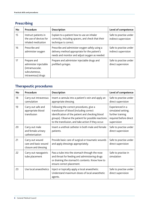## **Prescribing**

| <b>No</b> | Procedure                                                                                      | <b>Description</b>                                                                                                                                | Level of competence                            |
|-----------|------------------------------------------------------------------------------------------------|---------------------------------------------------------------------------------------------------------------------------------------------------|------------------------------------------------|
| 15        | Instruct patients in<br>the use of devices for<br>inhaled medication                           | Explain to a patient how to use an inhaler<br>correctly, including spacers, and check that their<br>technique is correct.                         | Safe to practise under<br>indirect supervision |
| 16        | Prescribe and<br>administer oxygen                                                             | Prescribe and administer oxygen safely using a<br>delivery method appropriate for the patient's<br>needs and monitor and adjust oxygen as needed. | Safe to practise under<br>indirect supervision |
| 17        | Prepare and<br>administer injectable<br>(intramuscular,<br>subcutaneous,<br>intravenous) drugs | Prepare and administer injectable drugs and<br>prefilled syringes.                                                                                | Safe to practise under<br>direct supervision   |

## **Therapeutic procedures**

| <b>No</b> | Procedure                                                       | <b>Description</b>                                                                                                                                                                                                                                   | Level of competence                                                                                 |
|-----------|-----------------------------------------------------------------|------------------------------------------------------------------------------------------------------------------------------------------------------------------------------------------------------------------------------------------------------|-----------------------------------------------------------------------------------------------------|
| 18        | Carry out intravenous<br>cannulation                            | Insert a cannula into a patient's vein and apply an<br>appropriate dressing.                                                                                                                                                                         | Safe to practise under<br>direct supervision                                                        |
| 19        | Carry out safe and<br>appropriate blood<br>transfusion          | Following the correct procedures, give a<br>transfusion of blood (including correct<br>identification of the patient and checking blood<br>groups). Observe the patient for possible reactions<br>to the transfusion, and take action if they occur. | Experienced in a<br>simulated setting;<br>further training<br>required before direct<br>supervision |
| 20        | Carry out male<br>and female urinary<br>catheterisation         | Insert a urethral catheter in both male and female<br>patients.                                                                                                                                                                                      | Safe to practise under<br>direct supervision                                                        |
| 21        | Carry out wound<br>care and basic wound<br>closure and dressing | Provide basic care of surgical or traumatic wounds<br>and apply dressings appropriately.                                                                                                                                                             | Safe to practise under<br>direct supervision                                                        |
| 22        | Carry out nasogastric<br>tube placement                         | Pass a tube into the stomach through the nose<br>and throat for feeding and administering drugs<br>or draining the stomach's contents. Know how to<br>ensure correct placement.                                                                      | Safe to practise in<br>simulation                                                                   |
| 23        | Use local anaesthetics                                          | Inject or topically apply a local anaesthetic.<br>Understand maximum doses of local anaesthetic<br>agents.                                                                                                                                           | Safe to practise under<br>direct supervision                                                        |